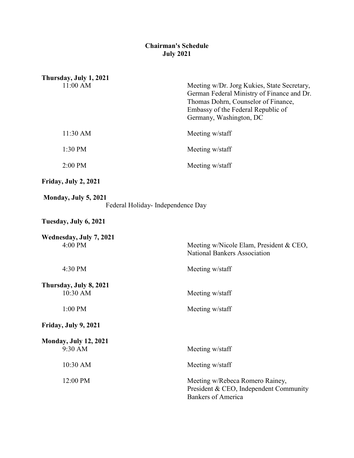## **Chairman's Schedule July 2021**

| Thursday, July 1, 2021                  |                                                                                                                                                                                                   |
|-----------------------------------------|---------------------------------------------------------------------------------------------------------------------------------------------------------------------------------------------------|
| 11:00 AM                                | Meeting w/Dr. Jorg Kukies, State Secretary,<br>German Federal Ministry of Finance and Dr.<br>Thomas Dohrn, Counselor of Finance,<br>Embassy of the Federal Republic of<br>Germany, Washington, DC |
| 11:30 AM                                | Meeting w/staff                                                                                                                                                                                   |
| 1:30 PM                                 | Meeting w/staff                                                                                                                                                                                   |
| 2:00 PM                                 | Meeting w/staff                                                                                                                                                                                   |
| Friday, July 2, 2021                    |                                                                                                                                                                                                   |
| Monday, July 5, 2021                    | Federal Holiday- Independence Day                                                                                                                                                                 |
| Tuesday, July 6, 2021                   |                                                                                                                                                                                                   |
| Wednesday, July 7, 2021<br>4:00 PM      | Meeting w/Nicole Elam, President & CEO,<br><b>National Bankers Association</b>                                                                                                                    |
| 4:30 PM                                 | Meeting w/staff                                                                                                                                                                                   |
| Thursday, July 8, 2021<br>10:30 AM      | Meeting w/staff                                                                                                                                                                                   |
| 1:00 PM                                 | Meeting w/staff                                                                                                                                                                                   |
| Friday, July 9, 2021                    |                                                                                                                                                                                                   |
| <b>Monday, July 12, 2021</b><br>9:30 AM | Meeting w/staff                                                                                                                                                                                   |
| 10:30 AM                                | Meeting w/staff                                                                                                                                                                                   |
| 12:00 PM                                | Meeting w/Rebeca Romero Rainey,<br>President & CEO, Independent Community<br><b>Bankers of America</b>                                                                                            |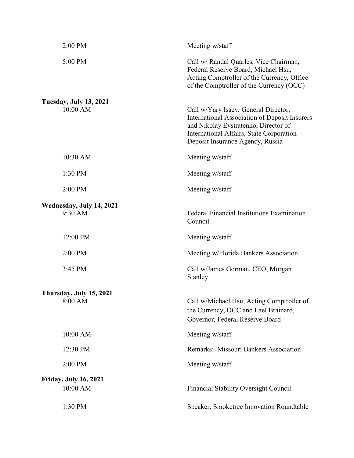| 2:00 PM                                   | Meeting w/staff                                                                                                                                                                                               |
|-------------------------------------------|---------------------------------------------------------------------------------------------------------------------------------------------------------------------------------------------------------------|
| 5:00 PM                                   | Call w/ Randal Quarles, Vice Chairman,<br>Federal Reserve Board, Michael Hsu,<br>Acting Comptroller of the Currency, Office<br>of the Comptroller of the Currency (OCC)                                       |
| <b>Tuesday, July 13, 2021</b><br>10:00 AM | Call w/Yury Isaev, General Director,<br>International Association of Deposit Insurers<br>and Nikolay Evstratenko, Director of<br>International Affairs, State Corporation<br>Deposit Insurance Agency, Russia |
| $10:30$ AM                                | Meeting w/staff                                                                                                                                                                                               |
| 1:30 PM                                   | Meeting w/staff                                                                                                                                                                                               |
| 2:00 PM                                   | Meeting w/staff                                                                                                                                                                                               |
| Wednesday, July 14, 2021<br>9:30 AM       | Federal Financial Institutions Examination<br>Council                                                                                                                                                         |
| 12:00 PM                                  | Meeting w/staff                                                                                                                                                                                               |
|                                           |                                                                                                                                                                                                               |
| 2:00 PM                                   | Meeting w/Florida Bankers Association                                                                                                                                                                         |
| 3:45 PM                                   | Call w/James Gorman, CEO, Morgan<br>Stanley                                                                                                                                                                   |
| Thursday, July 15, 2021<br>8:00 AM        | Call w/Michael Hsu, Acting Comptroller of<br>the Currency, OCC and Lael Brainard,<br>Governor, Federal Reserve Board                                                                                          |
| 10:00 AM                                  | Meeting w/staff                                                                                                                                                                                               |
| 12:30 PM                                  | Remarks: Missouri Bankers Association                                                                                                                                                                         |
| 2:00 PM                                   | Meeting w/staff                                                                                                                                                                                               |
| <b>Friday, July 16, 2021</b><br>10:00 AM  | Financial Stability Oversight Council                                                                                                                                                                         |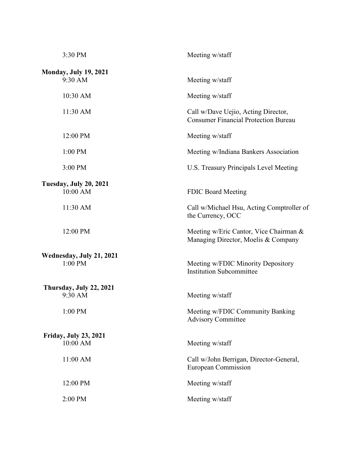| 3:30 PM                                   | Meeting w/staff                                                                    |
|-------------------------------------------|------------------------------------------------------------------------------------|
| <b>Monday, July 19, 2021</b><br>9:30 AM   | Meeting w/staff                                                                    |
| 10:30 AM                                  | Meeting w/staff                                                                    |
| 11:30 AM                                  | Call w/Dave Uejio, Acting Director,<br><b>Consumer Financial Protection Bureau</b> |
| 12:00 PM                                  | Meeting w/staff                                                                    |
| 1:00 PM                                   | Meeting w/Indiana Bankers Association                                              |
| 3:00 PM                                   | U.S. Treasury Principals Level Meeting                                             |
| <b>Tuesday, July 20, 2021</b><br>10:00 AM | <b>FDIC Board Meeting</b>                                                          |
| 11:30 AM                                  | Call w/Michael Hsu, Acting Comptroller of<br>the Currency, OCC                     |
| 12:00 PM                                  | Meeting w/Eric Cantor, Vice Chairman &<br>Managing Director, Moelis & Company      |
| Wednesday, July 21, 2021<br>1:00 PM       | Meeting w/FDIC Minority Depository<br><b>Institution Subcommittee</b>              |
| Thursday, July 22, 2021<br>9:30 AM        | Meeting w/staff                                                                    |
| 1:00 PM                                   | Meeting w/FDIC Community Banking<br><b>Advisory Committee</b>                      |
| <b>Friday, July 23, 2021</b><br>10:00 AM  | Meeting w/staff                                                                    |
| 11:00 AM                                  | Call w/John Berrigan, Director-General,<br>European Commission                     |
| 12:00 PM                                  | Meeting w/staff                                                                    |
| 2:00 PM                                   | Meeting w/staff                                                                    |